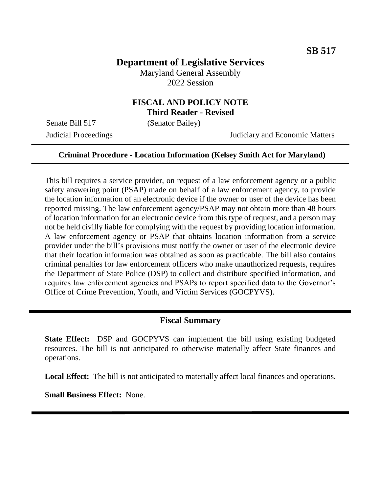# **Department of Legislative Services**

Maryland General Assembly 2022 Session

## **FISCAL AND POLICY NOTE Third Reader - Revised**

Senate Bill 517 (Senator Bailey)

Judicial Proceedings Judiciary and Economic Matters

#### **Criminal Procedure - Location Information (Kelsey Smith Act for Maryland)**

This bill requires a service provider, on request of a law enforcement agency or a public safety answering point (PSAP) made on behalf of a law enforcement agency, to provide the location information of an electronic device if the owner or user of the device has been reported missing. The law enforcement agency/PSAP may not obtain more than 48 hours of location information for an electronic device from this type of request, and a person may not be held civilly liable for complying with the request by providing location information. A law enforcement agency or PSAP that obtains location information from a service provider under the bill's provisions must notify the owner or user of the electronic device that their location information was obtained as soon as practicable. The bill also contains criminal penalties for law enforcement officers who make unauthorized requests, requires the Department of State Police (DSP) to collect and distribute specified information, and requires law enforcement agencies and PSAPs to report specified data to the Governor's Office of Crime Prevention, Youth, and Victim Services (GOCPYVS).

#### **Fiscal Summary**

**State Effect:** DSP and GOCPYVS can implement the bill using existing budgeted resources. The bill is not anticipated to otherwise materially affect State finances and operations.

**Local Effect:** The bill is not anticipated to materially affect local finances and operations.

**Small Business Effect:** None.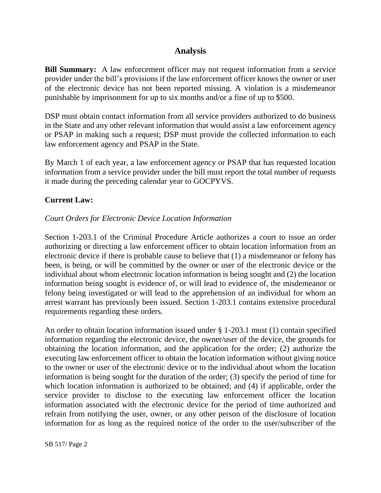## **Analysis**

**Bill Summary:** A law enforcement officer may not request information from a service provider under the bill's provisions if the law enforcement officer knows the owner or user of the electronic device has not been reported missing. A violation is a misdemeanor punishable by imprisonment for up to six months and/or a fine of up to \$500.

DSP must obtain contact information from all service providers authorized to do business in the State and any other relevant information that would assist a law enforcement agency or PSAP in making such a request; DSP must provide the collected information to each law enforcement agency and PSAP in the State.

By March 1 of each year, a law enforcement agency or PSAP that has requested location information from a service provider under the bill must report the total number of requests it made during the preceding calendar year to GOCPYVS.

## **Current Law:**

### *Court Orders for Electronic Device Location Information*

Section 1-203.1 of the Criminal Procedure Article authorizes a court to issue an order authorizing or directing a law enforcement officer to obtain location information from an electronic device if there is probable cause to believe that (1) a misdemeanor or felony has been, is being, or will be committed by the owner or user of the electronic device or the individual about whom electronic location information is being sought and (2) the location information being sought is evidence of, or will lead to evidence of, the misdemeanor or felony being investigated or will lead to the apprehension of an individual for whom an arrest warrant has previously been issued. Section 1-203.1 contains extensive procedural requirements regarding these orders.

An order to obtain location information issued under § 1-203.1 must (1) contain specified information regarding the electronic device, the owner/user of the device, the grounds for obtaining the location information, and the application for the order; (2) authorize the executing law enforcement officer to obtain the location information without giving notice to the owner or user of the electronic device or to the individual about whom the location information is being sought for the duration of the order; (3) specify the period of time for which location information is authorized to be obtained; and (4) if applicable, order the service provider to disclose to the executing law enforcement officer the location information associated with the electronic device for the period of time authorized and refrain from notifying the user, owner, or any other person of the disclosure of location information for as long as the required notice of the order to the user/subscriber of the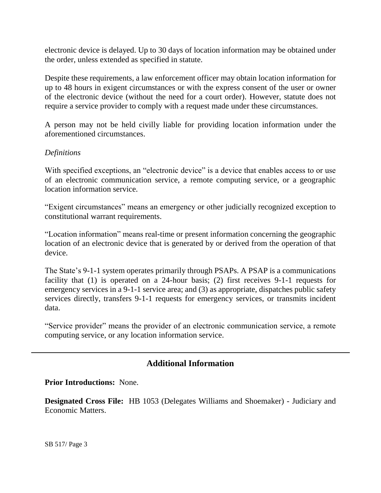electronic device is delayed. Up to 30 days of location information may be obtained under the order, unless extended as specified in statute.

Despite these requirements, a law enforcement officer may obtain location information for up to 48 hours in exigent circumstances or with the express consent of the user or owner of the electronic device (without the need for a court order). However, statute does not require a service provider to comply with a request made under these circumstances.

A person may not be held civilly liable for providing location information under the aforementioned circumstances.

### *Definitions*

With specified exceptions, an "electronic device" is a device that enables access to or use of an electronic communication service, a remote computing service, or a geographic location information service.

"Exigent circumstances" means an emergency or other judicially recognized exception to constitutional warrant requirements.

"Location information" means real-time or present information concerning the geographic location of an electronic device that is generated by or derived from the operation of that device.

The State's 9-1-1 system operates primarily through PSAPs. A PSAP is a communications facility that (1) is operated on a 24-hour basis; (2) first receives 9-1-1 requests for emergency services in a 9-1-1 service area; and (3) as appropriate, dispatches public safety services directly, transfers 9-1-1 requests for emergency services, or transmits incident data.

"Service provider" means the provider of an electronic communication service, a remote computing service, or any location information service.

## **Additional Information**

**Prior Introductions:** None.

**Designated Cross File:** HB 1053 (Delegates Williams and Shoemaker) - Judiciary and Economic Matters.